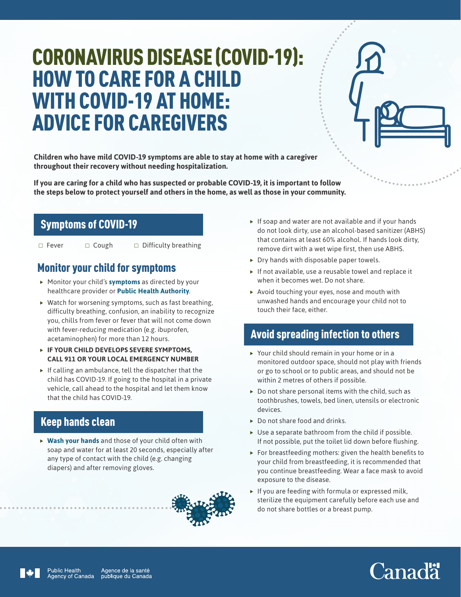# CORONAVIRUS DISEASE (COVID-19): HOW TO CARE FOR A CHILD WITH COVID-19 AT HOME: ADVICE FOR CAREGIVERS

**Children who have mild COVID-19 symptoms are able to stay at home with a caregiver throughout their recovery without needing hospitalization.**

**If you are caring for a child who has suspected or probable COVID-19, it is important to follow the steps below to protect yourself and others in the home, as well as those in your community.** 

#### Symptoms of COVID-19

 $\Box$  Fever  $\Box$  Cough  $\Box$  Difficulty breathing

#### Monitor your child for symptoms

- **F** Monitor your child's **[symptoms](https://www.canada.ca/en/public-health/services/diseases/2019-novel-coronavirus-infection/symptoms.html#s)** as directed by your healthcare provider or **[Public Health Authority](https://www.canada.ca/en/public-health/services/diseases/2019-novel-coronavirus-infection/symptoms/provincial-territorial-resources-covid-19.html)**.
- $\blacktriangleright$  Watch for worsening symptoms, such as fast breathing, difficulty breathing, confusion, an inability to recognize you, chills from fever or fever that will not come down with fever-reducing medication (e.g. ibuprofen, acetaminophen) for more than 12 hours.
- f **IF YOUR CHILD DEVELOPS SEVERE SYMPTOMS, CALL 911 OR YOUR LOCAL EMERGENCY NUMBER**
- $\blacktriangleright$  If calling an ambulance, tell the dispatcher that the child has COVID-19. If going to the hospital in a private vehicle, call ahead to the hospital and let them know that the child has COVID-19.

## Keep hands clean

▶ [Wash your hands](https://www.canada.ca/en/public-health/services/publications/diseases-conditions/reduce-spread-covid-19-wash-your-hands.html) and those of your child often with soap and water for at least 20 seconds, especially after any type of contact with the child (e.g. changing diapers) and after removing gloves.



- $\triangleright$  If soap and water are not available and if your hands do not look dirty, use an alcohol-based sanitizer (ABHS) that contains at least 60% alcohol. If hands look dirty, remove dirt with a wet wipe first, then use ABHS.
- $\triangleright$  Dry hands with disposable paper towels.
- $\blacktriangleright$  If not available, use a reusable towel and replace it when it becomes wet. Do not share.
- $\triangleright$  Avoid touching your eyes, nose and mouth with unwashed hands and encourage your child not to touch their face, either.

## Avoid spreading infection to others

- $\triangleright$  Your child should remain in your home or in a monitored outdoor space, should not play with friends or go to school or to public areas, and should not be within 2 metres of others if possible.
- $\triangleright$  Do not share personal items with the child, such as toothbrushes, towels, bed linen, utensils or electronic devices.
- $\triangleright$  Do not share food and drinks.
- $\triangleright$  Use a separate bathroom from the child if possible. If not possible, put the toilet lid down before flushing.
- $\triangleright$  For breastfeeding mothers: given the health benefits to your child from breastfeeding, it is recommended that you continue breastfeeding. Wear a face mask to avoid exposure to the disease.
- $\blacktriangleright$  If you are feeding with formula or expressed milk, sterilize the equipment carefully before each use and do not share bottles or a breast pump.